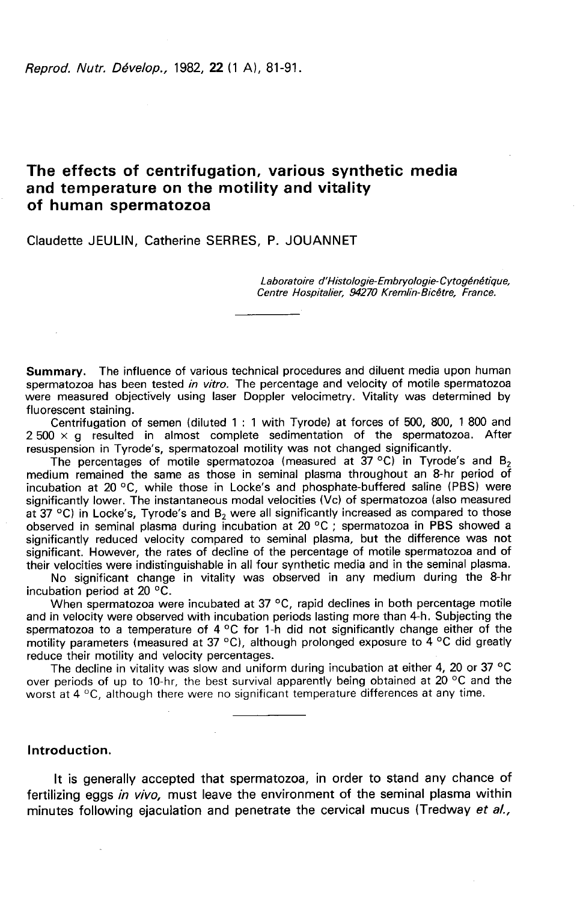Reprod, Nutr. Dévelop., 1982, 22 (1 A), 81-91.

# The effects of centrifugation, various synthetic media and temperature on the motility and vitality of human spermatozoa

Claudette JEULIN, Catherine SERRES, P. JOUANNET

Laboratoire d'Histologie-Embryologie-Cytogénétique, Centre Hospitalier, 94270 Kremlin-Bicêtre, France.

**Summary.** The influence of various technical procedures and diluent media upon human spermatozoa has been tested *in vitro*. The percentage and velocity of motile spermatozoa were measured objectively using laser Doppler velocimetry. Vitality was determined by fluorescent staining.

Centrifugation of semen (diluted 1 : 1 with Tyrode) at forces of 500, 800, 1 800 and  $2500 \times q$  resulted in almost complete sedimentation of the spermatozoa. After resuspension in Tyrode's, spermatozoal motility was not changed significantly.

The percentages of motile spermatozoa (measured at  $37^{\circ}$ C) in Tyrode's and B<sub>2</sub> medium remained the same as those in seminal plasma throughout an 8-hr period of incubation at 20 °C, while those in Locke's and phosphate-buffered saline (PBS) were significantly lower. The instantaneous modal velocities (Vc) of spermatozoa (also measured at  $37$  °C) in Locke's, Tyrode's and B<sub>2</sub> were all significantly increased as compared to those observed in seminal plasma during incubation at 20 °C ; spermatozoa in PBS showed a significantly reduced velocity compared to seminal plasma, but the difference was not significant. However, the rates of decline of the percentage of motile spermatozoa and of their velocities were indistinguishable in all four synthetic media and in the seminal plasma.

No significant change in vitality was observed in any medium during the 8-hr incubation period at 20 °C.

When spermatozoa were incubated at 37 °C, rapid declines in both percentage motile and in velocity were observed with incubation periods lasting more than 4-h. Subjecting the spermatozoa to a temperature of 4  $\degree$ C for 1-h did not significantly change either of the motility parameters (measured at 37 °C), although prolonged exposure to 4 °C did greatly reduce their motility and velocity percentages.

The decline in vitality was slow and uniform during incubation at either 4, 20 or 37  $^{\circ}$ C over periods of up to 10-hr, the best survival apparently being obtained at 20 °C and the worst at 4 °C, although there were no significant temperature differences at any time.

### Introduction.

It is generally accepted that spermatozoa, in order to stand any chance of fertilizing eggs in vivo, must leave the environment of the seminal plasma within minutes following ejaculation and penetrate the cervical mucus (Tredway et al.,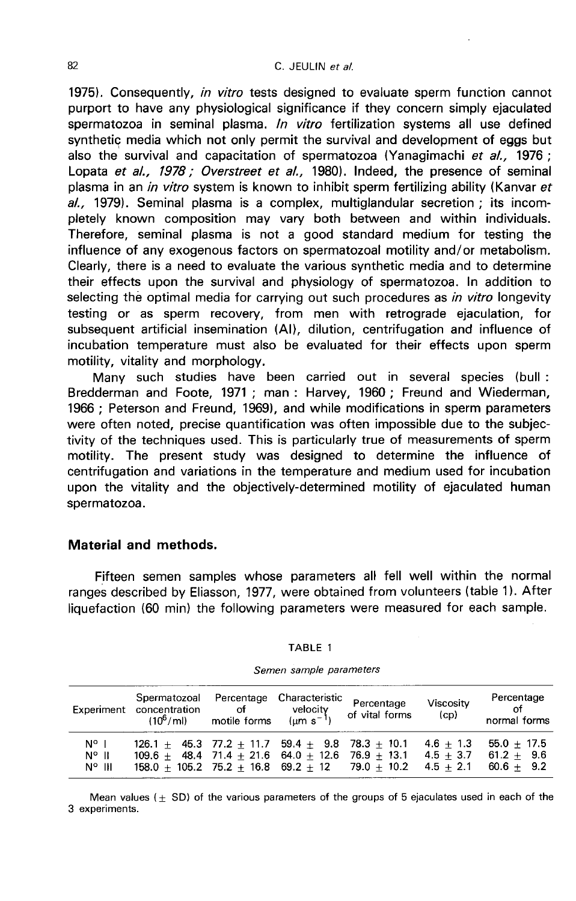1975). Consequently, in vitro tests designed to evaluate sperm function cannot purport to have any physiological significance if they concern simply ejaculated spermatozoa in seminal plasma. *In vitro* fertilization systems all use defined synthetic media which not only permit the survival and development of eggs but also the survival and capacitation of spermatozoa (Yanagimachi et al., 1976; Lopata et al., 1978; Overstreet et al., 1980). Indeed, the presence of seminal plasma in an in vitro system is known to inhibit sperm fertilizing ability (Kanvar et  $al.$ , 1979). Seminal plasma is a complex, multiglandular secretion ; its incompletely known composition may vary both between and within individuals. Therefore, seminal plasma is not a good standard medium for testing the influence of any exogenous factors on spermatozoal motility and/or metabolism. Clearly, there is a need to evaluate the various synthetic media and to determine their effects upon the survival and physiology of spermatozoa. In addition to selecting the optimal media for carrying out such procedures as in vitro longevity testing or as sperm recovery, from men with retrograde ejaculation, for subsequent artificial insemination (Al), dilution, centrifugation and influence of incubation temperature must also be evaluated for their effects upon sperm motility, vitality and morphology.

Many such studies have been carried out in several species (bull: Bredderman and Foote, 1971 ; man : Harvey, 1960 ; Freund and Wiederman, 1966 ; Peterson and Freund, 1969), and while modifications in sperm parameters were often noted, precise quantification was often impossible due to the subjectivity of the techniques used. This is particularly true of measurements of sperm motility. The present study was designed to determine the influence of centrifugation and variations in the temperature and medium used for incubation upon the vitality and the objectively-determined motility of ejaculated human spermatozoa.

### Material and methods.

Fifteen semen samples whose parameters all fell well within the normal ranges described by Eliasson, 1977, were obtained from volunteers (table 1). After liquefaction (60 min) the following parameters were measured for each sample.

|  |  | "ABL | т |  |  |
|--|--|------|---|--|--|
|--|--|------|---|--|--|

| Experiment                                | Spermatozoal<br>concentration<br>$(10^6$ / ml)                                                                                                                       | Percentage<br>of the contract of the contract of the contract of the contract of the contract of the contract of the contract of the contract of the contract of the contract o<br>motile forms | Characteristic<br>velocity<br>$\mu m s^{-1}$ | Percentage<br>of vital forms | Viscosity<br>(cp)                         | Percentage<br>of<br>normal forms              |  |
|-------------------------------------------|----------------------------------------------------------------------------------------------------------------------------------------------------------------------|-------------------------------------------------------------------------------------------------------------------------------------------------------------------------------------------------|----------------------------------------------|------------------------------|-------------------------------------------|-----------------------------------------------|--|
| N° I<br>$N^{\circ}$ II<br>$N^{\circ}$ III | $126.1 + 45.3$ 77.2 + 11.7 59.4 $\pm$ 9.8 78.3 $\pm$ 10.1<br>$109.6 + 48.4$ 71.4 + 21.6 64.0 + 12.6 76.9 + 13.1<br>$158.0 + 105.2$ 75.2 + 16.8 69.2 + 12 79.0 + 10.2 |                                                                                                                                                                                                 |                                              |                              | $4.6 + 1.3$<br>$4.5 + 3.7$<br>$4.5 + 2.1$ | $55.0 + 17.5$<br>$61.2 + 9.6$<br>$60.6 + 9.2$ |  |

Semen sample parameters

Mean values  $(+ SD)$  of the various parameters of the groups of 5 ejaculates used in each of the 3 experiments.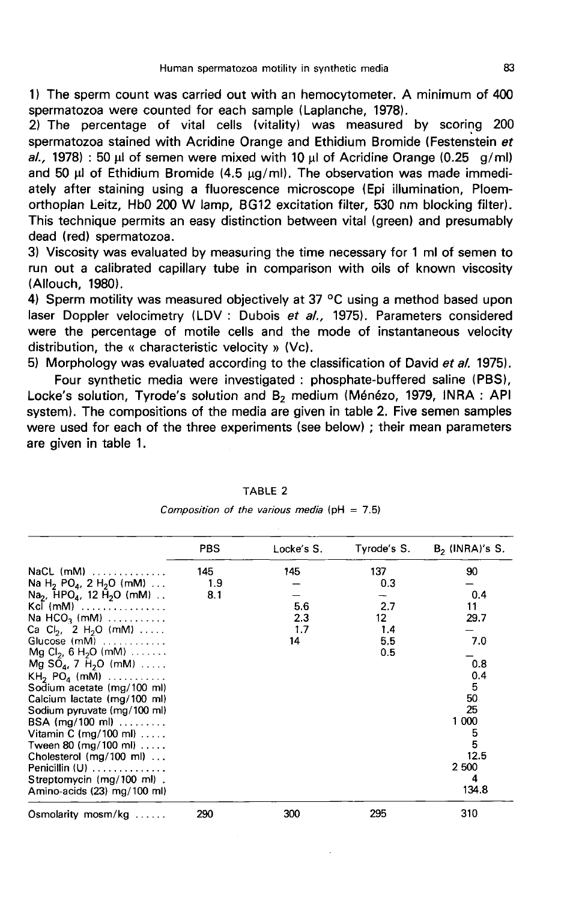1) The sperm count was carried out with an hemocytometer. A minimum of 400 spermatozoa were counted for each sample (Laplanche, 1978).

2) The percentage of vital cells (vitality) was measured by scoring 200 spermatozoa stained with Acridine Orange and Ethidium Bromide (Festenstein et al., 1978) : 50  $\mu$ l of semen were mixed with 10  $\mu$ l of Acridine Orange (0.25 g/ml) and 50  $\mu$ l of Ethidium Bromide (4.5  $\mu$ g/ml). The observation was made immediately after staining using a fluorescence microscope (Epi illumination, Ploemorthoplan Leitz, Hb0 200 W lamp, BG12 excitation filter, 530 nm blocking filter). This technique permits an easy distinction between vital (green) and presumably dead (red) spermatozoa.

3) Viscosity was evaluated by measuring the time necessary for 1 ml of semen to run out a calibrated capillary tube in comparison with oils of known viscosity (Allouch, 1980).

4) Sperm motility was measured objectively at 37 °C using a method based upon laser Doppler velocimetry (LDV : Dubois et al., 1975). Parameters considered were the percentage of motile cells and the mode of instantaneous velocity distribution, the « characteristic velocity » (Vc).

5) Morphology was evaluated according to the classification of David et al. 1975).

Four synthetic media were investigated : phosphate-buffered saline (PBS), Locke's solution, Tyrode's solution and B<sub>2</sub> medium (Ménézo, 1979, INRA : API system). The compositions of the media are given in table 2. Five semen samples were used for each of the three experiments (see below) ; their mean parameters are given in table 1.

|                                                                 | <b>PBS</b> | Locke's S. | Tyrode's S. | $B2$ (INRA)'s S. |
|-----------------------------------------------------------------|------------|------------|-------------|------------------|
| $NaCL$ (mM) $\ldots \ldots \ldots \ldots$                       | 145        | 145        | 137         | 90               |
| Na H <sub>2</sub> PO <sub>4</sub> , 2 H <sub>2</sub> O (mM)     | 1.9        |            | 0.3         |                  |
| Na <sub>2</sub> , $\text{HPO}_4$ , 12 $\text{H}_2\text{O}$ (mM) | 8.1        |            |             | 0.4              |
| Kel $(mM)$                                                      |            | 5.6        | 2.7         | 11               |
| Na $HCO3$ (mM) $\ldots \ldots \ldots$                           |            | 2.3        | 12          | 29.7             |
| Ca Cl <sub>2</sub> , 2 H <sub>2</sub> O (mM)                    |            | 1.7        | 1.4         |                  |
| Glucose $(mM)$                                                  |            | 14         | 5.5         | 7.0              |
| Mg Cl <sub>2</sub> , 6 H <sub>2</sub> O (mM)                    |            |            | 0.5         |                  |
| $Mg SOa, 7 H2O (mM) $                                           |            |            |             | 0.8              |
| KH <sub>2</sub> PO <sub>4</sub> (mM) $\ldots \ldots \ldots$     |            |            |             | 0.4              |
| Sodium acetate (mg/100 ml)                                      |            |            |             | 5                |
| Calcium lactate (mg/100 ml)                                     |            |            |             | 50               |
| Sodium pyruvate (mg/100 ml)                                     |            |            |             | 25               |
| $BSA$ (mg/100 ml)                                               |            |            |             | 1 000            |
| Vitamin C (mg/100 ml) $\dots$                                   |            |            |             |                  |
| Tween 80 (mg/100 ml) $\dots$                                    |            |            |             | 5<br>5           |
| Cholesterol $(mg/100 \text{ ml})$                               |            |            |             | 12.5             |
| Penicillin (U)                                                  |            |            |             | 2 500            |
| Streptomycin (mg/100 ml).                                       |            |            |             | 4                |
| Amino-acids (23) mg/100 ml)                                     |            |            |             | 134.8            |
| Osmolarity mosm/kg                                              | 290        | 300        | 295         | 310              |

TABLE 2

Composition of the various media ( $pH = 7.5$ )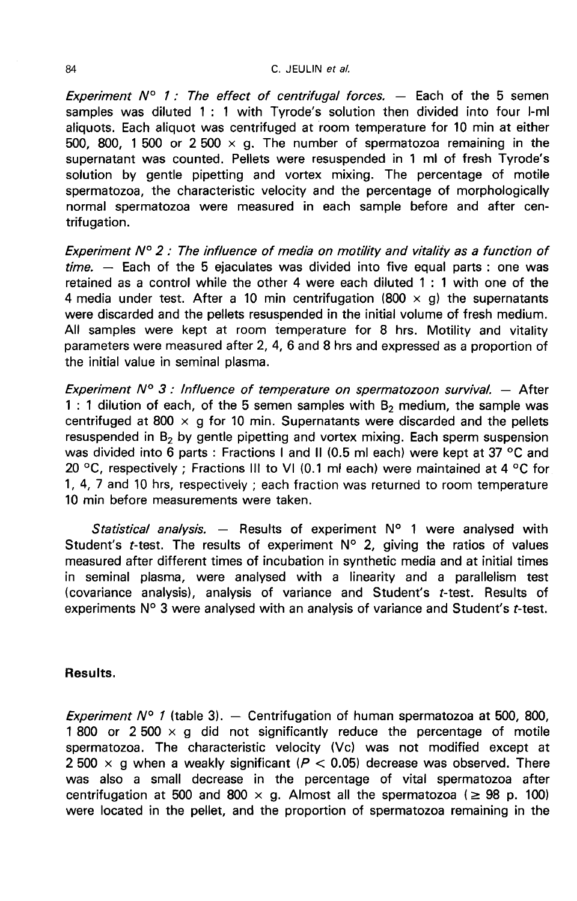Experiment  $N^{\circ}$  1 : The effect of centrifugal forces.  $-$  Each of the 5 semen samples was diluted 1 : 1 with Tyrode's solution then divided into four I-ml aliquots. Each aliquot was centrifuged at room temperature for 10 min at either 500, 800, 1 500 or 2 500  $\times$  g. The number of spermatozoa remaining in the supernatant was counted. Pellets were resuspended in 1 ml of fresh Tyrode's solution by gentle pipetting and vortex mixing. The percentage of motile spermatozoa, the characteristic velocity and the percentage of morphologically normal spermatozoa were measured in each sample before and after centrifugation.

Experiment  $N^{\circ}$  2 : The influence of media on motility and vitality as a function of  $time. -$  Each of the 5 ejaculates was divided into five equal parts : one was retained as a control while the other 4 were each diluted 1 : 1 with one of the 4 media under test. After a 10 min centrifugation (800  $\times$  g) the supernatants were discarded and the pellets resuspended in the initial volume of fresh medium. All samples were kept at room temperature for 8 hrs. Motility and vitality parameters were measured after 2, 4, 6 and 8 hrs and expressed as a proportion of the initial value in seminal plasma.

Experiment  $N^{\circ}$  3 : Influence of temperature on spermatozoon survival.  $-$  After 1 : 1 dilution of each, of the 5 semen samples with  $B_2$  medium, the sample was centrifuged at 800  $\times$  g for 10 min. Supernatants were discarded and the pellets resuspended in B<sub>2</sub> by gentle pipetting and vortex mixing. Each sperm suspension was divided into 6 parts : Fractions I and II (0.5 ml each) were kept at 37 °C and 20 °C, respectively ; Fractions III to VI (0.1 ml each) were maintained at 4 °C for 1, 4, 7 and 10 hrs, respectively ; each fraction was returned to room temperature 10 min before measurements were taken.

Statistical analysis. - Results of experiment  $N^{\circ}$  1 were analysed with Student's t-test. The results of experiment  $N^{\circ}$  2, giving the ratios of values measured after different times of incubation in synthetic media and at initial times in seminal plasma, were analysed with a linearity and a parallelism test (covariance analysis), analysis of variance and Student's t-test. Results of experiments  $N^{\circ}$  3 were analysed with an analysis of variance and Student's t-test.

### Results.

Experiment  $N^{\circ}$  1 (table 3). - Centrifugation of human spermatozoa at 500, 800, 1 800 or 2 500  $\times$  g did not significantly reduce the percentage of motile spermatozoa. The characteristic velocity (Vc) was not modified except at 2 500  $\times$  g when a weakly significant ( $P < 0.05$ ) decrease was observed. There was also a small decrease in the percentage of vital spermatozoa after centrifugation at 500 and 800  $\times$  g. Almost all the spermatozoa ( $\geq$  98 p. 100) were located in the pellet, and the proportion of spermatozoa remaining in the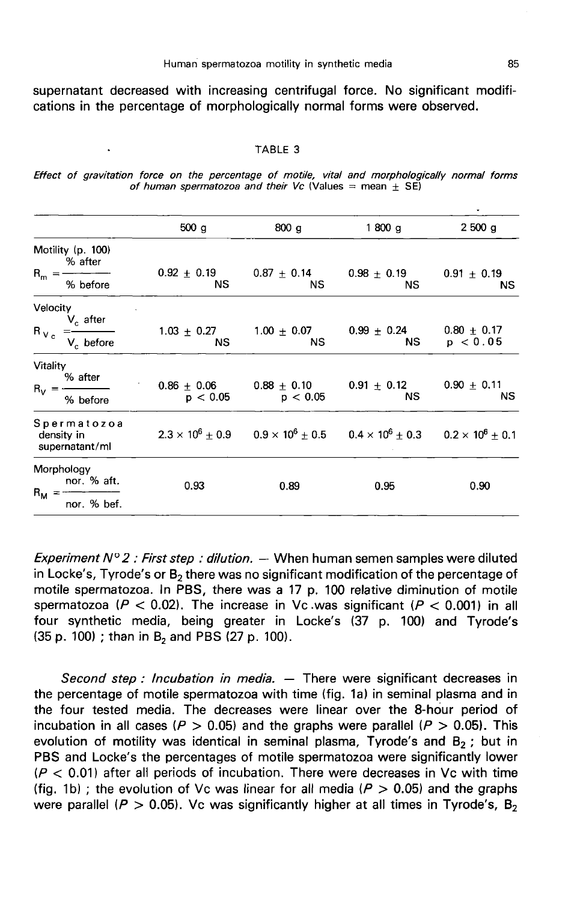supernatant decreased with increasing centrifugal force. No significant modifications in the percentage of morphologically normal forms were observed.

### TABLE 3

|  |  |  |  |  | Effect of gravitation force on the percentage of motile, vital and morphologically normal forms |  |
|--|--|--|--|--|-------------------------------------------------------------------------------------------------|--|
|  |  |  |  |  | of human spermatozoa and their Vc (Values $=$ mean $+$ SE)                                      |  |

| 2500 g                                                                                                  |  |
|---------------------------------------------------------------------------------------------------------|--|
|                                                                                                         |  |
|                                                                                                         |  |
| $0.91 \pm 0.19$<br>ΝS                                                                                   |  |
| $0.80 \pm 0.17$<br>p < 0.05                                                                             |  |
| $0.90 \pm 0.11$<br>NS.                                                                                  |  |
| $2.3 \times 10^6 \pm 0.9$ $0.9 \times 10^6 \pm 0.5$ $0.4 \times 10^6 \pm 0.3$ $0.2 \times 10^6 \pm 0.1$ |  |
| 0.90                                                                                                    |  |
|                                                                                                         |  |
|                                                                                                         |  |

Experiment  $N^{\circ}2$ : First step: dilution. - When human semen samples were diluted in Locke's, Tyrode's or  $B_2$  there was no significant modification of the percentage of motile spermatozoa. In PBS, there was a 17 p. 100 relative diminution of motile spermatozoa ( $P < 0.02$ ). The increase in Vc was significant ( $P < 0.001$ ) in all four synthetic media, being greater in Locke's (37 p. 100) and Tyrode's  $(35 p. 100)$ ; than in B<sub>2</sub> and PBS  $(27 p. 100)$ .

Second step : Incubation in media.  $-$  There were significant decreases in the percentage of motile spermatozoa with time (fig. 1a) in seminal plasma and in the four tested media. The decreases were linear over the 8-hour period of incubation in all cases ( $P > 0.05$ ) and the graphs were parallel ( $P > 0.05$ ). This evolution of motility was identical in seminal plasma, Tyrode's and  $B<sub>2</sub>$ ; but in PBS and Locke's the percentages of motile spermatozoa were significantly lower ( $P < 0.01$ ) after all periods of incubation. There were decreases in Vc with time (fig. 1b) ; the evolution of Vc was linear for all media ( $P > 0.05$ ) and the graphs were parallel ( $P > 0.05$ ). Vc was significantly higher at all times in Tyrode's, B<sub>2</sub>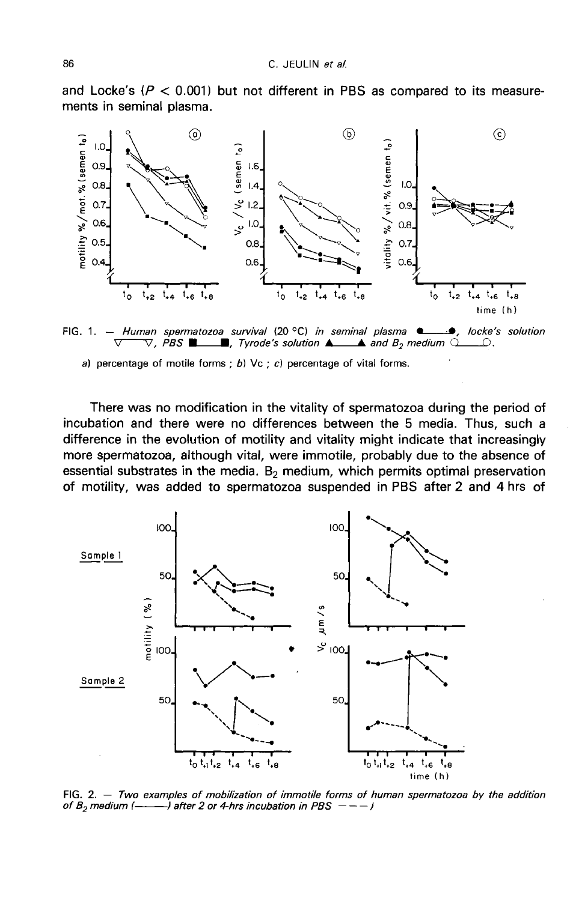



FIG. 1. - Human spermatozoa survival (20 °C) in seminal plasma  $\bullet$  $\nabla$ , PBS  $\blacksquare$  . Tyrode's solution  $\blacktriangle$  and  $B_2$  medium  $\Omega$  $\_\circ$ .

a) percentage of motile forms ; b)  $\forall c$  ; c) percentage of vital forms.

There was no modification in the vitality of spermatozoa during the period of incubation and there were no differences between the 5 media. Thus, such a difference in the evolution of motility and vitality might indicate that increasingly more spermatozoa, although vital, were immotile, probably due to the absence of essential substrates in the media.  $B<sub>2</sub>$  medium, which permits optimal preservation of motility, was added to spermatozoa suspended in PBS after 2 and 4 hrs of



FIG. 2.  $-$  Two examples of mobilization of immotile forms of human spermatozoa by the addition of  $B_2$  medium (- - ) after 2 or 4-hrs incubation in PBS  $--$  )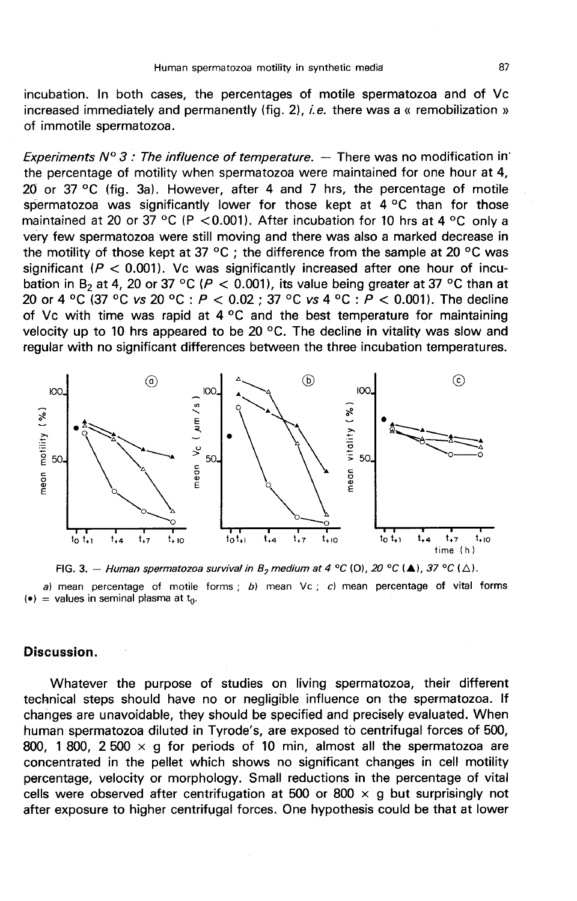incubation. In both cases, the percentages of motile spermatozoa and of Vc increased immediately and permanently (fig.  $2$ ), *i.e.* there was a « remobilization » of immotile spermatozoa.

Experiments  $N^{\circ}$  3 : The influence of temperature.  $-$  There was no modification in' the percentage of motility when spermatozoa were maintained for one hour at 4, 20 or 37 °C (fig. 3a). However, after 4 and 7 hrs, the percentage of motile spermatozoa was significantly lower for those kept at  $4^{\circ}$ C than for those maintained at 20 or 37 °C (P < 0.001). After incubation for 10 hrs at 4 °C only a very few spermatozoa were still moving and there was also a marked decrease in the motility of those kept at 37 °C ; the difference from the sample at 20 °C was significant ( $P < 0.001$ ). Vc was significantly increased after one hour of incubation in B<sub>2</sub> at 4, 20 or 37 °C ( $P < 0.001$ ), its value being greater at 37 °C than at 20 or 4 °C (37 °C vs 20 °C :  $P < 0.02$  ; 37 °C vs 4 °C :  $P < 0.001$ ). The decline of Vc with time was rapid at  $4^{\circ}$ C and the best temperature for maintaining velocity up to 10 hrs appeared to be 20  $\degree$ C. The decline in vitality was slow and regular with no significant differences between the three incubation temperatures.



FIG. 3. - Human spermatozoa survival in  $B_2$  medium at 4 °C (0), 20 °C ( $\blacktriangle$ ), 37 °C ( $\triangle$ ).

a) mean percentage of motile forms : b) mean  $\forall c$  ; c) mean percentage of vital forms (•) = values in seminal plasma at  $t_0$ .

## Discussion.

Whatever the purpose of studies on living spermatozoa, their different technical steps should have no or negligible influence on the spermatozoa. If changes are unavoidable, they should be specified and precisely evaluated. When human spermatozoa diluted in Tyrode's, are exposed to centrifugal forces of 500, 800, 1 800, 2 500  $\times$  g for periods of 10 min, almost all the spermatozoa are concentrated in the pellet which shows no significant changes in cell motility percentage, velocity or morphology. Small reductions in the percentage of vital cells were observed after centrifugation at 500 or 800  $\times$  g but surprisingly not after exposure to higher centrifugal forces. One hypothesis could be that at lower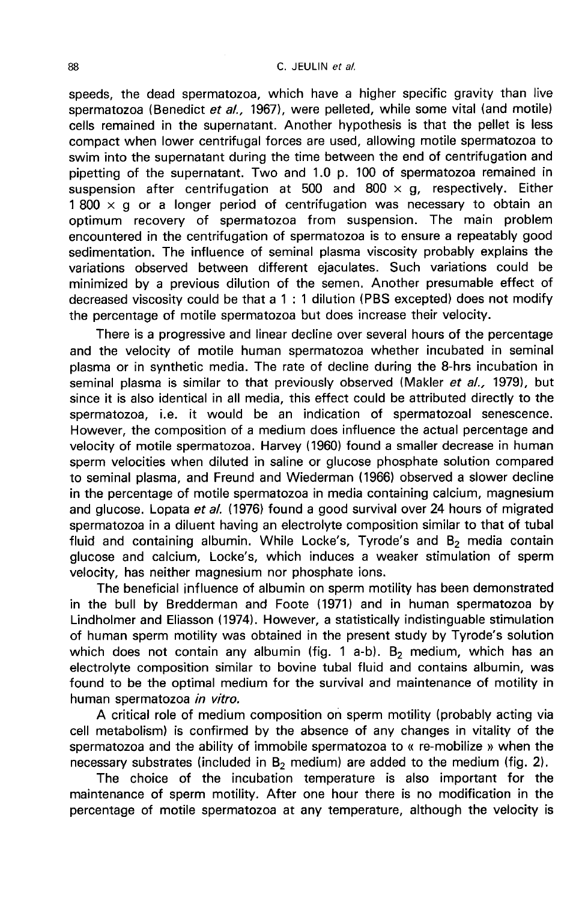#### C. JEULIN et al.

speeds, the dead spermatozoa, which have a higher specific gravity than live spermatozoa (Benedict et al., 1967), were pelleted, while some vital (and motile) cells remained in the supernatant. Another hypothesis is that the pellet is less compact when lower centrifugal forces are used, allowing motile spermatozoa to swim into the supernatant during the time between the end of centrifugation and pipetting of the supernatant. Two and 1.0 p. 100 of spermatozoa remained in suspension after centrifugation at 500 and 800  $\times$  g, respectively. Either  $1800 \times q$  or a longer period of centrifugation was necessary to obtain an optimum recovery of spermatozoa from suspension. The main problem encountered in the centrifugation of spermatozoa is to ensure a repeatably good sedimentation. The influence of seminal plasma viscosity probably explains the variations observed between different ejaculates. Such variations could be minimized by a previous dilution of the semen. Another presumable effect of decreased viscosity could be that a 1 : 1 dilution (PBS excepted) does not modify the percentage of motile spermatozoa but does increase their velocity.

There is a progressive and linear decline over several hours of the percentage and the velocity of motile human spermatozoa whether incubated in seminal plasma or in synthetic media. The rate of decline during the 8-hrs incubation in seminal plasma is similar to that previously observed (Makler et al., 1979), but since it is also identical in all media, this effect could be attributed directly to the spermatozoa, i.e. it would be an indication of spermatozoal senescence. However, the composition of a medium does influence the actual percentage and velocity of motile spermatozoa. Harvey (1960) found a smaller decrease in human sperm velocities when diluted in saline or glucose phosphate solution compared to seminal plasma, and Freund and Wiederman (1966) observed a slower decline in the percentage of motile spermatozoa in media containing calcium, magnesium and glucose. Lopata et al. (1976) found a good survival over 24 hours of migrated spermatozoa in a diluent having an electrolyte composition similar to that of tubal fluid and containing albumin. While Locke's, Tyrode's and  $B_2$  media contain glucose and calcium, Locke's, which induces a weaker stimulation of sperm velocity, has neither magnesium nor phosphate ions.

The beneficial influence of albumin on sperm motility has been demonstrated in the bull by Bredderman and Foote (1971) and in human spermatozoa by Lindholmer and Eliasson (1974). However, a statistically indistinguable stimulation of human sperm motility was obtained in the present study by Tyrode's solution which does not contain any albumin (fig. 1 a-b). B<sub>2</sub> medium, which has an electrolyte composition similar to bovine tubal fluid and contains albumin, was found to be the optimal medium for the survival and maintenance of motility in human spermatozoa in vitro.

A critical role of medium composition on sperm motility (probably acting via cell metabolism) is confirmed by the absence of any changes in vitality of the spermatozoa and the ability of immobile spermatozoa to « re-mobilize » when the necessary substrates (included in  $B_2$  medium) are added to the medium (fig. 2).

The choice of the incubation temperature is also important for the maintenance of sperm motility. After one hour there is no modification in the percentage of motile spermatozoa at any temperature, although the velocity is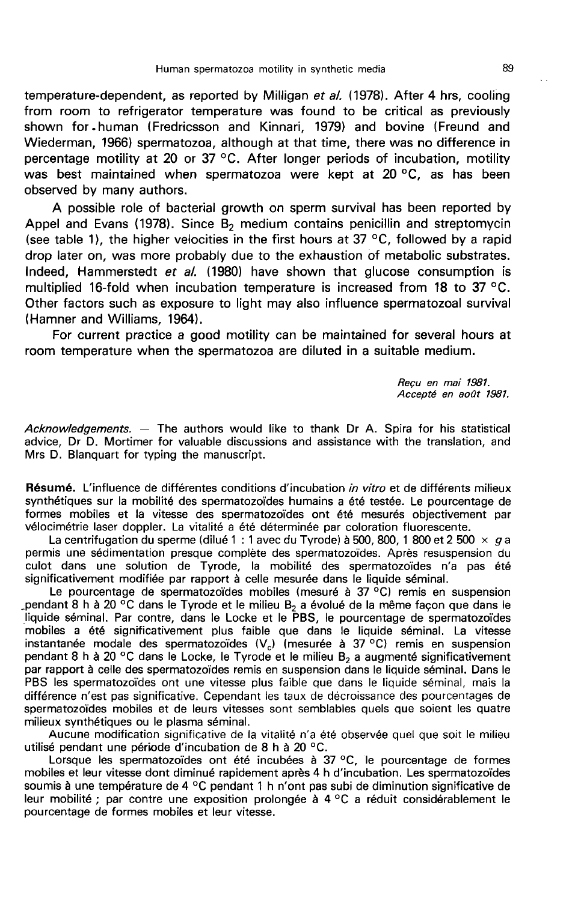temperature-dependent, as reported by Milligan et al. (1978). After 4 hrs, cooling from room to refrigerator temperature was found to be critical as previously shown for.human (Fredricsson and Kinnari, 1979) and bovine (Freund and Wiederman, 1966) spermatozoa, although at that time, there was no difference in percentage motility at 20 or 37 °C. After longer periods of incubation, motility was best maintained when spermatozoa were kept at 20 °C, as has been observed by many authors.

A possible role of bacterial growth on sperm survival has been reported by Appel and Evans (1978). Since  $B_2$  medium contains penicillin and streptomycin (see table 1), the higher velocities in the first hours at 37  $\,^{\circ}$ C, followed by a rapid drop later on, was more probably due to the exhaustion of metabolic substrates. Indeed, Hammerstedt et al. (1980) have shown that glucose consumption is multiplied 16-fold when incubation temperature is increased from 18 to 37 °C. Other factors such as exposure to light may also influence spermatozoal survival (Hamner and Williams, 1964).

For current practice a good motility can be maintained for several hours at room temperature when the spermatozoa are diluted in a suitable medium.

> Requ en mai 1981. Accepté en août 1981.

 $Acknowledgements. -$  The authors would like to thank Dr A. Spira for his statistical advice, Dr D. Mortimer for valuable discussions and assistance with the translation, and Mrs D. Blanquart for typing the manuscript.

Résumé. L'influence de différentes conditions d'incubation in vitro et de différents milieux synthétiques sur la mobilité des spermatozoïdes humains a été testée. Le pourcentage de formes mobiles et la vitesse des spermatozoïdes ont été mesurés objectivement par vélocimétrie laser doppler. La vitalité a été déterminée par coloration fluorescente.

La centrifugation du sperme (dilué 1 : 1 avec du Tyrode) à 500, 800, 1 800 et 2 500  $\times$  g a permis une sédimentation presque complète des spermatozoïdes. Après resuspension du culot dans une solution de Tyrode, la mobilité des spermatozoïdes n'a pas été significativement modifiée par rapport à celle mesurée dans le liquide séminal.

Le pourcentage de spermatozoïdes mobiles (mesuré à 37 °C) remis en suspension pendant 8 h à 20 °C dans le Tyrode et le milieu  $B_2$  a évolué de la même façon que dans le liquide séminal. Par contre, dans le Locke et le PBS, le pourcentage de spermatozoïdes mobiles a été significativement plus faible que dans le liquide séminal. La vitesse instantanée modale des spermatozoïdes (V<sub>c</sub>) (mesurée à 37 °C) remis en suspension<br>pendant 8 h à 20 °C dans le Locke, le Tyrode et le milieu B<sub>2</sub> a augmenté significativement par rapport à celle des spermatozoïdes remis en suspension dans le liquide séminal. Dans le PBS les spermatozoïdes ont une vitesse plus faible que dans le liquide séminal, mais la différence n'est pas significative. Cependant les taux de décroissance des pourcentages de spermatozoïdes mobiles et de leurs vitesses sont semblables quels que soient les quatre milieux synthétiques ou le plasma séminal.

Aucune modification significative de la vitalité n'a été observée quel que soit le milieu utilisé pendant une période d'incubation de 8 h à 20 °C.

Lorsque les spermatozoïdes ont été incubées à 37 °C, le pourcentage de formes mobiles et leur vitesse dont diminué rapidement après 4 h d'incubation. Les spermatozoïdes soumis à une température de 4 °C pendant 1 h n'ont pas subi de diminution significative de leur mobilité ; par contre une exposition prolongée à 4 °C a réduit considérablement le pourcentage de formes mobiles et leur vitesse.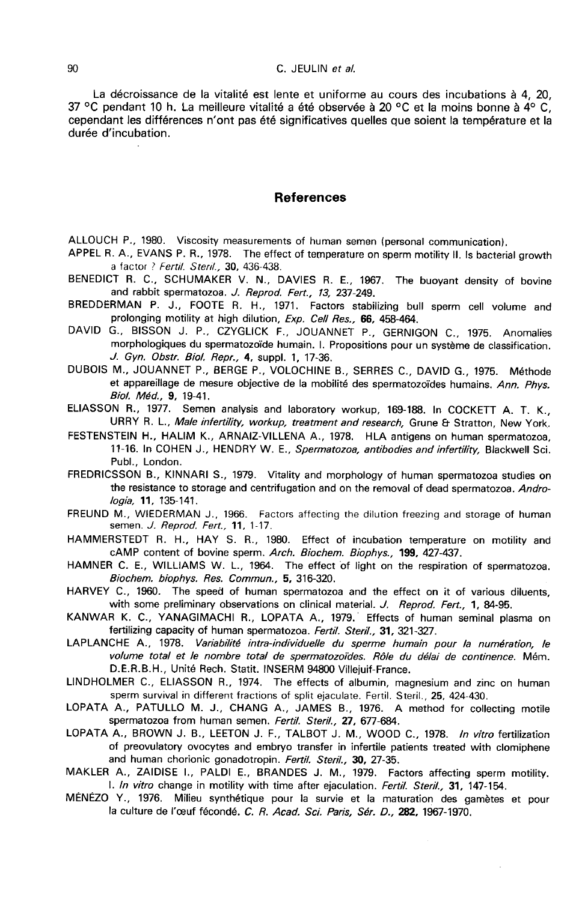La décroissance de la vitalité est lente et uniforme au cours des incubations à 4, 20, 37 °C pendant 10 h. La meilleure vitalité a été observée à 20 °C et la moins bonne à  $4^{\circ}$  C. cependant les différences n'ont pas été significatives quelles que soient la température et la durée d'incubation.

### **References**

ALLOUCH P., 1980. Viscosity measurements of human semen (personal communication).<br>APPEL R. A., EVANS P. R., 1978. The effect of temperature on sperm motility II. Is bacterial growth a factor ? Fertil. Steril., 30, 436-438.

BENEDICT R. C., SCHUMAKER V. N., DAVIES R. E., 1967. The buoyant density of bovine and rabbit spermatozoa. J. Reprod. Fert., 13, 237-249.

BREDDERMAN P. J., FOOTE R. H., 1971. Factors stabilizing bull sperm cell volume and prolonging motility at high dilution, Exp. Cell Res., 66, 458-464.

DAVID G., BISSON J. P., CZYGLICK F., JOUANNET P., GERNIGON C., 1975. Anomalies morphologiques du spermatozoïde humain. I. Propositions pour un système de classification. J. Gyn. Obstr. Biol. Repr., 4, suppl. 1, 17-36.

DUBOIS M., JOUANNET P., BERGE P., VOLOCHINE B., SERRES C., DAVID G., 1975. M6thode et appareillage de mesure objective de la mobilité des spermatozoïdes humains. Ann. Phys. Biol. M6d., 9, 19-41.

ELIASSON R., 1977. Semen analysis and laboratory workup, 169-188. In COCKETT A. T. K.,<br>URRY R. L., *Male infertility, workup, treatment and research,* Grune & Stratton, New York.<br>FESTENSTEIN H., HALIM K., ARNAIZ-VILLENA A.

11-16. In COHEN J., HENDRY W. E., Spermatozoa, antibodies and infertility, Blackwell Sci. Pubi., London.

FREDRICSSON B., KINNARI S., 1979. Vitality and morphology of human spermatozoa studies on the resistance to storage and centrifugation and on the removal of dead spermatozoa. Andrologia, 11, 135-141.

FREUND M., WIEDERMAN J., 1966. Factors affecting the dilution freezing and storage of human semen. *J. Reprod. Fert.*, **11**, 1-17.

HAMMERSTEDT R. H., HAY S. R., 1980. Effect of incubation temperature on motility and cAMP content of bovine sperm. Arch. Biochem. Biophys., 199, 427-437.

HAMNER C. E., WILLIAMS W. L., 1964. The effect of light on the respiration of spermatozoa. Biochem. biophys. Res. Commun., 5, 316-320.

HARVEY C., 1960. The speed of human spermatozoa and the effect on it of various diluents, with some preliminary observations on clinical material. J. Reprod. Fert., 1, 84-95.

KANWAR K. C., YANAGIMACHI R., LOPATA A., 1979. Effects of human seminal plasma on fertilizing capacity of human spermatozoa. Fertil. Steril., 31, 321-327.

LAPLANCHE A., 1978. Variabilité intra-individuelle du sperme humain pour la numération, le volume total et le nombre total de spermatozoides. R61e du delai de continence. M6m. D.E.R.B.H., Unite Rech. Statit. INSERM 94800 Villejuif-France.

LINDHOLMER C., ELIASSON R., 1974. The effects of albumin, magnesium and zinc on human sperm survival in different fractions of split ejaculate. Fertil. Steril., 25, 424-430.

LOPATA A., PATULLO M. J., CHANG A., JAMES B., 1976. A method for collecting motile spermatozoa from human semen. Fertil. Steril., 27, 677-684.

LOPATA A., BROWN J. B., LEETON J. F., TALBOT J. M., WOOD C., 1978. In vitro fertilization of preovulatory ovocytes and embryo transfer in infertile patients treated with clomiphene and human chorionic gonadotropin. Fertil. Steril., 30, 27-35.

MAKLER A., ZAIDISE I., PALDI E., BRANDES J. M., 1979. Factors affecting sperm motility. 1. In vitro change in motility with time after ejaculation. Fertil. Steril., 31, 147-154.

MENEZO Y., 1976. Milieu synth6tique pour la survie et la maturation des gametes et pour la culture de l'œuf fécondé. C. R. Acad. Sci. Paris, Sér. D., 282, 1967-1970.